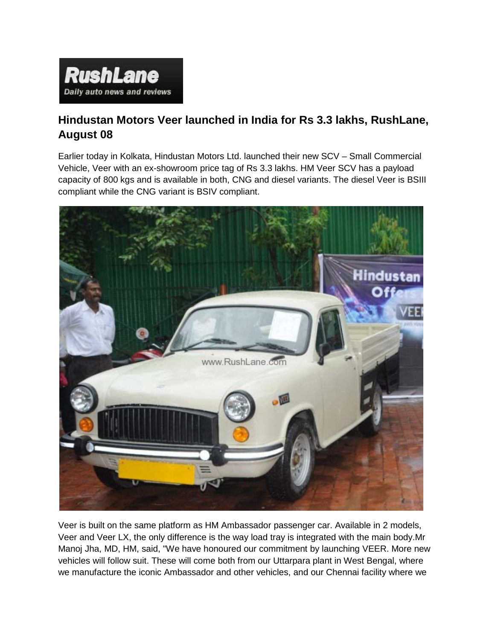

## **Hindustan Motors Veer launched in India for Rs 3.3 lakhs, RushLane, August 08**

Earlier today in Kolkata, Hindustan Motors Ltd. launched their new SCV – Small Commercial Vehicle, Veer with an ex-showroom price tag of Rs 3.3 lakhs. HM Veer SCV has a payload capacity of 800 kgs and is available in both, CNG and diesel variants. The diesel Veer is BSIII compliant while the CNG variant is BSIV compliant.



Veer is built on the same platform as HM Ambassador passenger car. Available in 2 models, Veer and Veer LX, the only difference is the way load tray is integrated with the main body.Mr Manoj Jha, MD, HM, said, "We have honoured our commitment by launching VEER. More new vehicles will follow suit. These will come both from our Uttarpara plant in West Bengal, where we manufacture the iconic Ambassador and other vehicles, and our Chennai facility where we